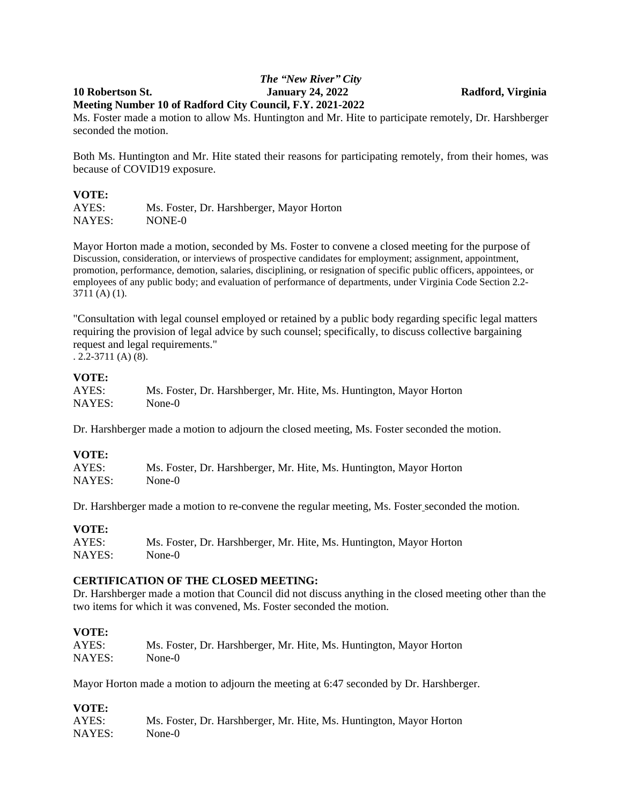## *The "New River" City* **10 Robertson St. January 24, 2022 Radford, Virginia Meeting Number 10 of Radford City Council, F.Y. 2021-2022**

Ms. Foster made a motion to allow Ms. Huntington and Mr. Hite to participate remotely, Dr. Harshberger seconded the motion.

Both Ms. Huntington and Mr. Hite stated their reasons for participating remotely, from their homes, was because of COVID19 exposure.

### **VOTE:**

AYES: Ms. Foster, Dr. Harshberger, Mayor Horton NAYES: NONE-0

Mayor Horton made a motion, seconded by Ms. Foster to convene a closed meeting for the purpose of Discussion, consideration, or interviews of prospective candidates for employment; assignment, appointment, promotion, performance, demotion, salaries, disciplining, or resignation of specific public officers, appointees, or employees of any public body; and evaluation of performance of departments, under Virginia Code Section 2.2- 3711 (A) (1).

"Consultation with legal counsel employed or retained by a public body regarding specific legal matters requiring the provision of legal advice by such counsel; specifically, to discuss collective bargaining request and legal requirements."

. 2.2-3711 (A) (8).

## **VOTE:**

| AYES:  | Ms. Foster, Dr. Harshberger, Mr. Hite, Ms. Huntington, Mayor Horton |
|--------|---------------------------------------------------------------------|
| NAYES: | None-0                                                              |

Dr. Harshberger made a motion to adjourn the closed meeting, Ms. Foster seconded the motion.

# **VOTE:**

| AYES:  | Ms. Foster, Dr. Harshberger, Mr. Hite, Ms. Huntington, Mayor Horton |
|--------|---------------------------------------------------------------------|
| NAYES: | None-0                                                              |

Dr. Harshberger made a motion to re-convene the regular meeting, Ms. Foster seconded the motion.

### **VOTE:**

| AYES:  | Ms. Foster, Dr. Harshberger, Mr. Hite, Ms. Huntington, Mayor Horton |
|--------|---------------------------------------------------------------------|
| NAYES: | None-0                                                              |

### **CERTIFICATION OF THE CLOSED MEETING:**

Dr. Harshberger made a motion that Council did not discuss anything in the closed meeting other than the two items for which it was convened, Ms. Foster seconded the motion.

### **VOTE:**

| AYES:  | Ms. Foster, Dr. Harshberger, Mr. Hite, Ms. Huntington, Mayor Horton |
|--------|---------------------------------------------------------------------|
| NAYES: | None-0                                                              |

Mayor Horton made a motion to adjourn the meeting at 6:47 seconded by Dr. Harshberger.

### **VOTE:**

| AYES:  | Ms. Foster, Dr. Harshberger, Mr. Hite, Ms. Huntington, Mayor Horton |
|--------|---------------------------------------------------------------------|
| NAYES: | None-0                                                              |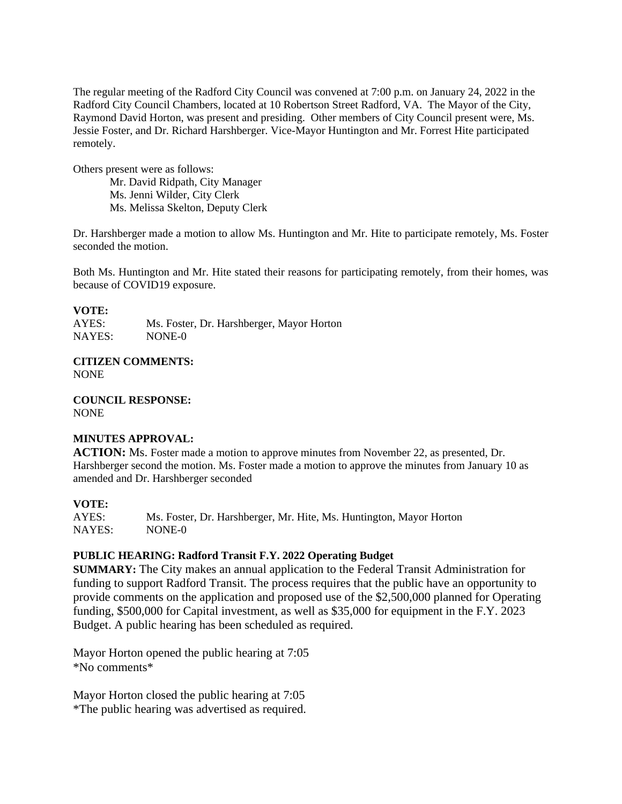The regular meeting of the Radford City Council was convened at 7:00 p.m. on January 24, 2022 in the Radford City Council Chambers, located at 10 Robertson Street Radford, VA. The Mayor of the City, Raymond David Horton, was present and presiding. Other members of City Council present were, Ms. Jessie Foster, and Dr. Richard Harshberger. Vice-Mayor Huntington and Mr. Forrest Hite participated remotely.

Others present were as follows:

Mr. David Ridpath, City Manager Ms. Jenni Wilder, City Clerk Ms. Melissa Skelton, Deputy Clerk

Dr. Harshberger made a motion to allow Ms. Huntington and Mr. Hite to participate remotely, Ms. Foster seconded the motion.

Both Ms. Huntington and Mr. Hite stated their reasons for participating remotely, from their homes, was because of COVID19 exposure.

### **VOTE:**

AYES: Ms. Foster, Dr. Harshberger, Mayor Horton NAYES: NONE-0

**CITIZEN COMMENTS:** NONE

**COUNCIL RESPONSE:** NONE

### **MINUTES APPROVAL:**

**ACTION:** Ms. Foster made a motion to approve minutes from November 22, as presented, Dr. Harshberger second the motion. Ms. Foster made a motion to approve the minutes from January 10 as amended and Dr. Harshberger seconded

### **VOTE:**

AYES: Ms. Foster, Dr. Harshberger, Mr. Hite, Ms. Huntington, Mayor Horton NAYES: NONE-0

## **PUBLIC HEARING: Radford Transit F.Y. 2022 Operating Budget**

**SUMMARY:** The City makes an annual application to the Federal Transit Administration for funding to support Radford Transit. The process requires that the public have an opportunity to provide comments on the application and proposed use of the \$2,500,000 planned for Operating funding, \$500,000 for Capital investment, as well as \$35,000 for equipment in the F.Y. 2023 Budget. A public hearing has been scheduled as required.

Mayor Horton opened the public hearing at 7:05 \*No comments\*

Mayor Horton closed the public hearing at 7:05 \*The public hearing was advertised as required.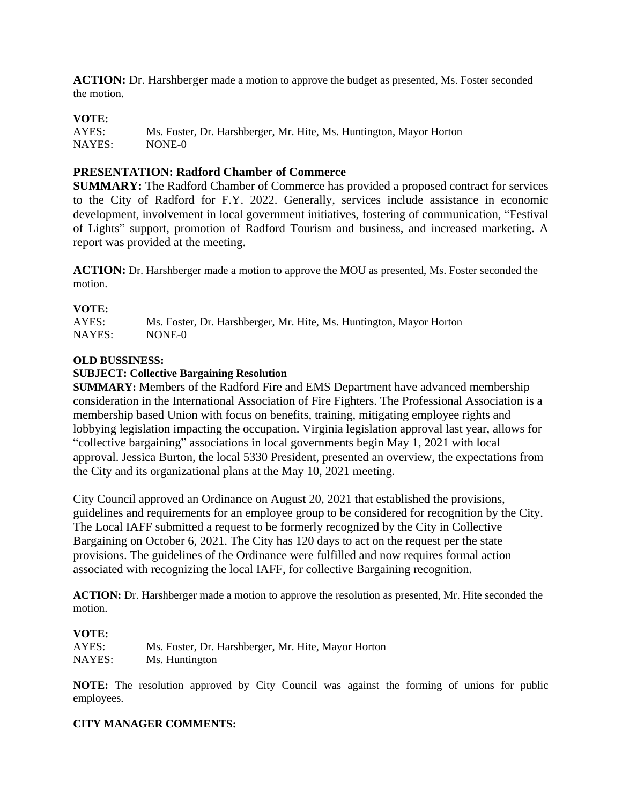**ACTION:** Dr. Harshberger made a motion to approve the budget as presented, Ms. Foster seconded the motion.

## **VOTE:**

AYES: Ms. Foster, Dr. Harshberger, Mr. Hite, Ms. Huntington, Mayor Horton NAYES: NONE-0

## **PRESENTATION: Radford Chamber of Commerce**

**SUMMARY:** The Radford Chamber of Commerce has provided a proposed contract for services to the City of Radford for F.Y. 2022. Generally, services include assistance in economic development, involvement in local government initiatives, fostering of communication, "Festival of Lights" support, promotion of Radford Tourism and business, and increased marketing. A report was provided at the meeting.

**ACTION:** Dr. Harshberger made a motion to approve the MOU as presented, Ms. Foster seconded the motion.

## **VOTE:**

AYES: Ms. Foster, Dr. Harshberger, Mr. Hite, Ms. Huntington, Mayor Horton NAYES: NONE-0

### **OLD BUSSINESS:**

### **SUBJECT: Collective Bargaining Resolution**

**SUMMARY:** Members of the Radford Fire and EMS Department have advanced membership consideration in the International Association of Fire Fighters. The Professional Association is a membership based Union with focus on benefits, training, mitigating employee rights and lobbying legislation impacting the occupation. Virginia legislation approval last year, allows for "collective bargaining" associations in local governments begin May 1, 2021 with local approval. Jessica Burton, the local 5330 President, presented an overview, the expectations from the City and its organizational plans at the May 10, 2021 meeting.

City Council approved an Ordinance on August 20, 2021 that established the provisions, guidelines and requirements for an employee group to be considered for recognition by the City. The Local IAFF submitted a request to be formerly recognized by the City in Collective Bargaining on October 6, 2021. The City has 120 days to act on the request per the state provisions. The guidelines of the Ordinance were fulfilled and now requires formal action associated with recognizing the local IAFF, for collective Bargaining recognition.

**ACTION:** Dr. Harshberger made a motion to approve the resolution as presented, Mr. Hite seconded the motion.

### **VOTE:**

| AYES:  | Ms. Foster, Dr. Harshberger, Mr. Hite, Mayor Horton |
|--------|-----------------------------------------------------|
| NAYES: | Ms. Huntington                                      |

**NOTE:** The resolution approved by City Council was against the forming of unions for public employees.

### **CITY MANAGER COMMENTS:**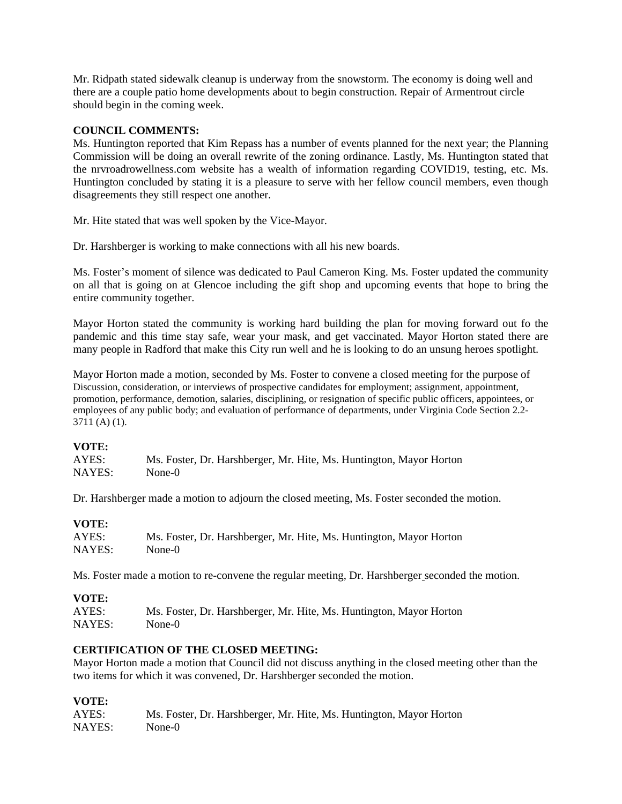Mr. Ridpath stated sidewalk cleanup is underway from the snowstorm. The economy is doing well and there are a couple patio home developments about to begin construction. Repair of Armentrout circle should begin in the coming week.

# **COUNCIL COMMENTS:**

Ms. Huntington reported that Kim Repass has a number of events planned for the next year; the Planning Commission will be doing an overall rewrite of the zoning ordinance. Lastly, Ms. Huntington stated that the nrvroadrowellness.com website has a wealth of information regarding COVID19, testing, etc. Ms. Huntington concluded by stating it is a pleasure to serve with her fellow council members, even though disagreements they still respect one another.

Mr. Hite stated that was well spoken by the Vice-Mayor.

Dr. Harshberger is working to make connections with all his new boards.

Ms. Foster's moment of silence was dedicated to Paul Cameron King. Ms. Foster updated the community on all that is going on at Glencoe including the gift shop and upcoming events that hope to bring the entire community together.

Mayor Horton stated the community is working hard building the plan for moving forward out fo the pandemic and this time stay safe, wear your mask, and get vaccinated. Mayor Horton stated there are many people in Radford that make this City run well and he is looking to do an unsung heroes spotlight.

Mayor Horton made a motion, seconded by Ms. Foster to convene a closed meeting for the purpose of Discussion, consideration, or interviews of prospective candidates for employment; assignment, appointment, promotion, performance, demotion, salaries, disciplining, or resignation of specific public officers, appointees, or employees of any public body; and evaluation of performance of departments, under Virginia Code Section 2.2- 3711 (A) (1).

### **VOTE:**

| AYES:  | Ms. Foster, Dr. Harshberger, Mr. Hite, Ms. Huntington, Mayor Horton |
|--------|---------------------------------------------------------------------|
| NAYES: | None-0                                                              |

Dr. Harshberger made a motion to adjourn the closed meeting, Ms. Foster seconded the motion.

| <b>VOTE:</b> |                                                                     |
|--------------|---------------------------------------------------------------------|
| AYES:        | Ms. Foster, Dr. Harshberger, Mr. Hite, Ms. Huntington, Mayor Horton |
| NAYES:       | None-0                                                              |

Ms. Foster made a motion to re-convene the regular meeting, Dr. Harshberger seconded the motion.

# **VOTE:**

AYES: Ms. Foster, Dr. Harshberger, Mr. Hite, Ms. Huntington, Mayor Horton NAYES: None-0

# **CERTIFICATION OF THE CLOSED MEETING:**

Mayor Horton made a motion that Council did not discuss anything in the closed meeting other than the two items for which it was convened, Dr. Harshberger seconded the motion.

# **VOTE:**

| AYES:  | Ms. Foster, Dr. Harshberger, Mr. Hite, Ms. Huntington, Mayor Horton |
|--------|---------------------------------------------------------------------|
| NAYES: | None-0                                                              |